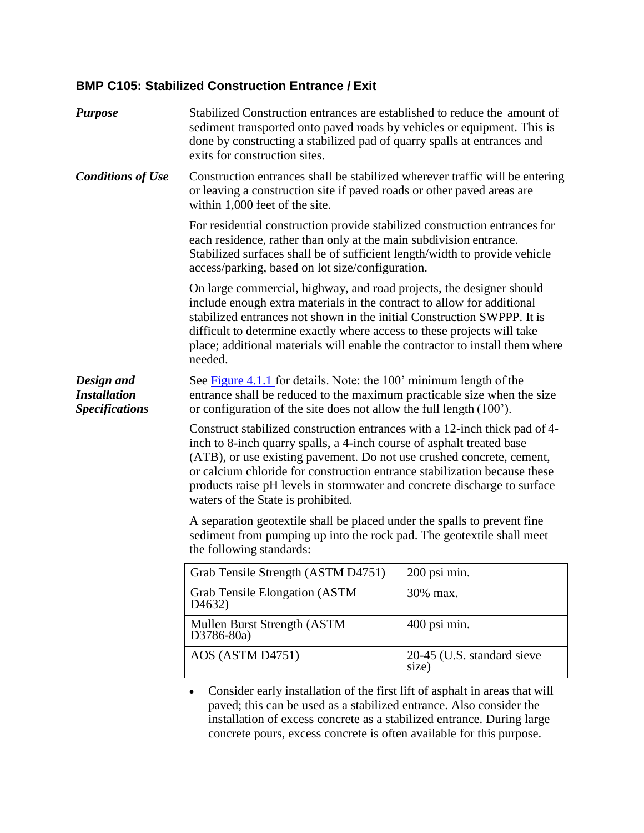## <span id="page-0-0"></span>**BMP C105: Stabilized Construction Entrance / Exit**

| <b>Purpose</b>                                             | Stabilized Construction entrances are established to reduce the amount of<br>sediment transported onto paved roads by vehicles or equipment. This is<br>done by constructing a stabilized pad of quarry spalls at entrances and<br>exits for construction sites.                                                                                                                                                            |                                     |
|------------------------------------------------------------|-----------------------------------------------------------------------------------------------------------------------------------------------------------------------------------------------------------------------------------------------------------------------------------------------------------------------------------------------------------------------------------------------------------------------------|-------------------------------------|
| <b>Conditions of Use</b>                                   | Construction entrances shall be stabilized wherever traffic will be entering<br>or leaving a construction site if paved roads or other paved areas are<br>within 1,000 feet of the site.                                                                                                                                                                                                                                    |                                     |
|                                                            | For residential construction provide stabilized construction entrances for<br>each residence, rather than only at the main subdivision entrance.<br>Stabilized surfaces shall be of sufficient length/width to provide vehicle<br>access/parking, based on lot size/configuration.                                                                                                                                          |                                     |
|                                                            | On large commercial, highway, and road projects, the designer should<br>include enough extra materials in the contract to allow for additional<br>stabilized entrances not shown in the initial Construction SWPPP. It is<br>difficult to determine exactly where access to these projects will take<br>place; additional materials will enable the contractor to install them where<br>needed.                             |                                     |
| Design and<br><b>Installation</b><br><b>Specifications</b> | See Figure 4.1.1 for details. Note: the 100' minimum length of the<br>entrance shall be reduced to the maximum practicable size when the size<br>or configuration of the site does not allow the full length (100 <sup>o</sup> ).                                                                                                                                                                                           |                                     |
|                                                            | Construct stabilized construction entrances with a 12-inch thick pad of 4-<br>inch to 8-inch quarry spalls, a 4-inch course of asphalt treated base<br>(ATB), or use existing pavement. Do not use crushed concrete, cement,<br>or calcium chloride for construction entrance stabilization because these<br>products raise pH levels in stormwater and concrete discharge to surface<br>waters of the State is prohibited. |                                     |
|                                                            | A separation geotextile shall be placed under the spalls to prevent fine<br>sediment from pumping up into the rock pad. The geotextile shall meet<br>the following standards:                                                                                                                                                                                                                                               |                                     |
|                                                            | Grab Tensile Strength (ASTM D4751)                                                                                                                                                                                                                                                                                                                                                                                          | 200 psi min.                        |
|                                                            | <b>Grab Tensile Elongation (ASTM</b><br>D <sub>4632</sub> )                                                                                                                                                                                                                                                                                                                                                                 | 30% max.                            |
|                                                            | Mullen Burst Strength (ASTM<br>D3786-80a)                                                                                                                                                                                                                                                                                                                                                                                   | 400 psi min.                        |
|                                                            | AOS (ASTM D4751)                                                                                                                                                                                                                                                                                                                                                                                                            | 20-45 (U.S. standard sieve<br>size) |
|                                                            | Consider early installation of the first lift of asphalt in areas that will<br>paved; this can be used as a stabilized entrance. Also consider the<br>installation of excess concrete as a stabilized entrance. During large                                                                                                                                                                                                |                                     |

concrete pours, excess concrete is often available for this purpose.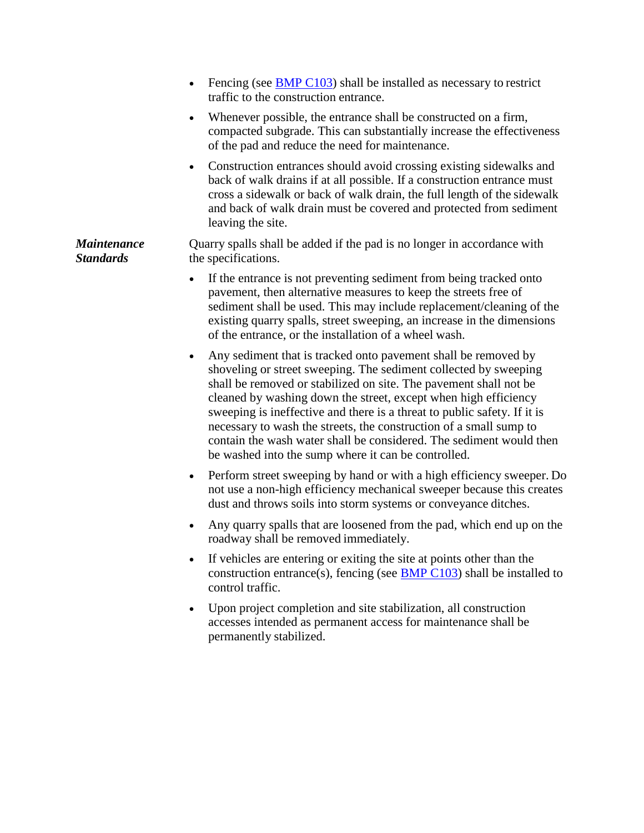|                                        | Fencing (see $\underline{BMP C103}$ ) shall be installed as necessary to restrict<br>traffic to the construction entrance.                                                                                                                                                                                                                                                                                                                                                                                                                                              |  |
|----------------------------------------|-------------------------------------------------------------------------------------------------------------------------------------------------------------------------------------------------------------------------------------------------------------------------------------------------------------------------------------------------------------------------------------------------------------------------------------------------------------------------------------------------------------------------------------------------------------------------|--|
|                                        | Whenever possible, the entrance shall be constructed on a firm,<br>$\bullet$<br>compacted subgrade. This can substantially increase the effectiveness<br>of the pad and reduce the need for maintenance.                                                                                                                                                                                                                                                                                                                                                                |  |
|                                        | Construction entrances should avoid crossing existing sidewalks and<br>$\bullet$<br>back of walk drains if at all possible. If a construction entrance must<br>cross a sidewalk or back of walk drain, the full length of the sidewalk<br>and back of walk drain must be covered and protected from sediment<br>leaving the site.                                                                                                                                                                                                                                       |  |
| <b>Maintenance</b><br><b>Standards</b> | Quarry spalls shall be added if the pad is no longer in accordance with<br>the specifications.                                                                                                                                                                                                                                                                                                                                                                                                                                                                          |  |
|                                        | If the entrance is not preventing sediment from being tracked onto<br>pavement, then alternative measures to keep the streets free of<br>sediment shall be used. This may include replacement/cleaning of the<br>existing quarry spalls, street sweeping, an increase in the dimensions<br>of the entrance, or the installation of a wheel wash.                                                                                                                                                                                                                        |  |
|                                        | Any sediment that is tracked onto pavement shall be removed by<br>$\bullet$<br>shoveling or street sweeping. The sediment collected by sweeping<br>shall be removed or stabilized on site. The pavement shall not be<br>cleaned by washing down the street, except when high efficiency<br>sweeping is ineffective and there is a threat to public safety. If it is<br>necessary to wash the streets, the construction of a small sump to<br>contain the wash water shall be considered. The sediment would then<br>be washed into the sump where it can be controlled. |  |
|                                        | Perform street sweeping by hand or with a high efficiency sweeper. Do<br>$\bullet$<br>not use a non-high efficiency mechanical sweeper because this creates<br>dust and throws soils into storm systems or conveyance ditches.                                                                                                                                                                                                                                                                                                                                          |  |
|                                        | Any quarry spalls that are loosened from the pad, which end up on the<br>$\bullet$<br>roadway shall be removed immediately.                                                                                                                                                                                                                                                                                                                                                                                                                                             |  |
|                                        | If vehicles are entering or exiting the site at points other than the<br>$\bullet$<br>construction entrance(s), fencing (see <b>BMP C103</b> ) shall be installed to<br>control traffic.                                                                                                                                                                                                                                                                                                                                                                                |  |

 Upon project completion and site stabilization, all construction accesses intended as permanent access for maintenance shall be permanently stabilized.